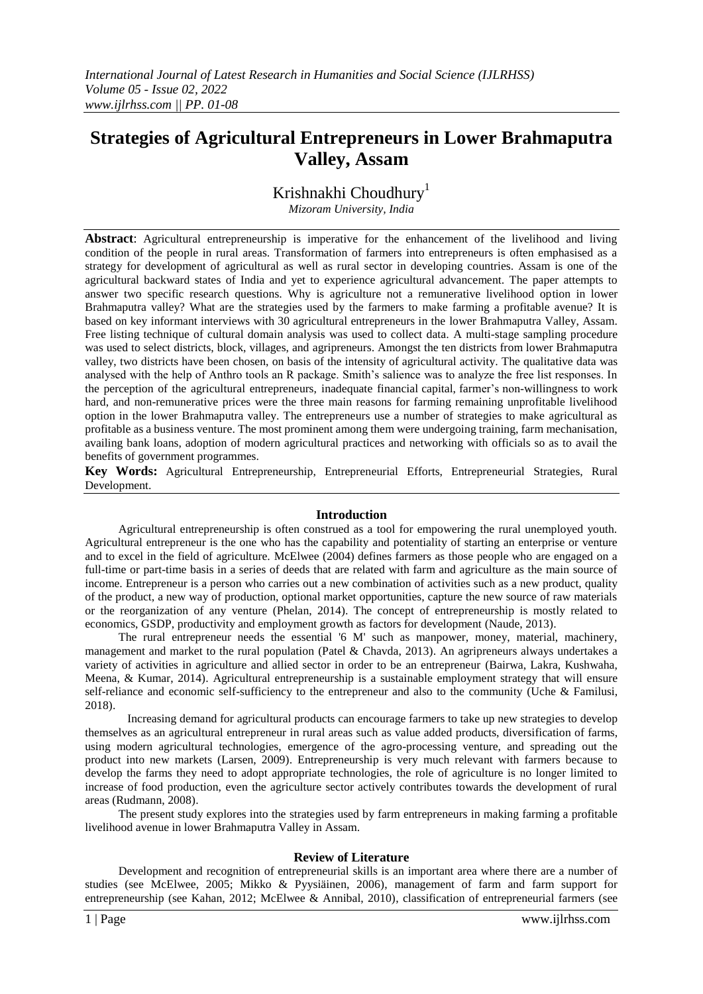# **Strategies of Agricultural Entrepreneurs in Lower Brahmaputra Valley, Assam**

Krishnakhi Choudhury<sup>1</sup>

*Mizoram University, India*

**Abstract**: Agricultural entrepreneurship is imperative for the enhancement of the livelihood and living condition of the people in rural areas. Transformation of farmers into entrepreneurs is often emphasised as a strategy for development of agricultural as well as rural sector in developing countries. Assam is one of the agricultural backward states of India and yet to experience agricultural advancement. The paper attempts to answer two specific research questions. Why is agriculture not a remunerative livelihood option in lower Brahmaputra valley? What are the strategies used by the farmers to make farming a profitable avenue? It is based on key informant interviews with 30 agricultural entrepreneurs in the lower Brahmaputra Valley, Assam. Free listing technique of cultural domain analysis was used to collect data. A multi-stage sampling procedure was used to select districts, block, villages, and agripreneurs. Amongst the ten districts from lower Brahmaputra valley, two districts have been chosen, on basis of the intensity of agricultural activity. The qualitative data was analysed with the help of Anthro tools an R package. Smith's salience was to analyze the free list responses. In the perception of the agricultural entrepreneurs, inadequate financial capital, farmer's non-willingness to work hard, and non-remunerative prices were the three main reasons for farming remaining unprofitable livelihood option in the lower Brahmaputra valley. The entrepreneurs use a number of strategies to make agricultural as profitable as a business venture. The most prominent among them were undergoing training, farm mechanisation, availing bank loans, adoption of modern agricultural practices and networking with officials so as to avail the benefits of government programmes.

**Key Words:** Agricultural Entrepreneurship, Entrepreneurial Efforts, Entrepreneurial Strategies, Rural Development.

### **Introduction**

Agricultural entrepreneurship is often construed as a tool for empowering the rural unemployed youth. Agricultural entrepreneur is the one who has the capability and potentiality of starting an enterprise or venture and to excel in the field of agriculture. McElwee (2004) defines farmers as those people who are engaged on a full-time or part-time basis in a series of deeds that are related with farm and agriculture as the main source of income. Entrepreneur is a person who carries out a new combination of activities such as a new product, quality of the product, a new way of production, optional market opportunities, capture the new source of raw materials or the reorganization of any venture (Phelan, 2014). The concept of entrepreneurship is mostly related to economics, GSDP, productivity and employment growth as factors for development (Naude, 2013).

The rural entrepreneur needs the essential '6 M' such as manpower, money, material, machinery, management and market to the rural population (Patel & Chavda, 2013). An agripreneurs always undertakes a variety of activities in agriculture and allied sector in order to be an entrepreneur (Bairwa, Lakra, Kushwaha, Meena, & Kumar, 2014). Agricultural entrepreneurship is a sustainable employment strategy that will ensure self-reliance and economic self-sufficiency to the entrepreneur and also to the community (Uche & Familusi, 2018).

Increasing demand for agricultural products can encourage farmers to take up new strategies to develop themselves as an agricultural entrepreneur in rural areas such as value added products, diversification of farms, using modern agricultural technologies, emergence of the agro-processing venture, and spreading out the product into new markets (Larsen, 2009). Entrepreneurship is very much relevant with farmers because to develop the farms they need to adopt appropriate technologies, the role of agriculture is no longer limited to increase of food production, even the agriculture sector actively contributes towards the development of rural areas (Rudmann, 2008).

The present study explores into the strategies used by farm entrepreneurs in making farming a profitable livelihood avenue in lower Brahmaputra Valley in Assam.

### **Review of Literature**

Development and recognition of entrepreneurial skills is an important area where there are a number of studies (see McElwee, 2005; Mikko & Pyysiäinen, 2006), management of farm and farm support for entrepreneurship (see Kahan, 2012; McElwee & Annibal, 2010), classification of entrepreneurial farmers (see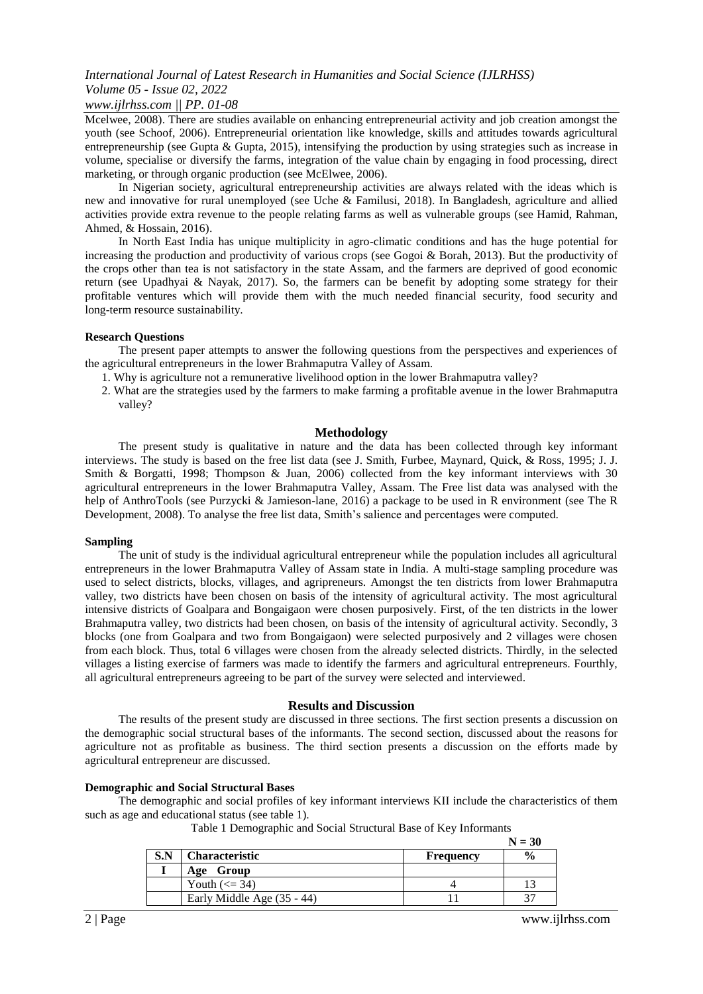### *www.ijlrhss.com || PP. 01-08*

Mcelwee, 2008). There are studies available on enhancing entrepreneurial activity and job creation amongst the youth (see Schoof, 2006). Entrepreneurial orientation like knowledge, skills and attitudes towards agricultural entrepreneurship (see Gupta & Gupta, 2015), intensifying the production by using strategies such as increase in volume, specialise or diversify the farms, integration of the value chain by engaging in food processing, direct marketing, or through organic production (see McElwee, 2006).

In Nigerian society, agricultural entrepreneurship activities are always related with the ideas which is new and innovative for rural unemployed (see Uche & Familusi, 2018). In Bangladesh, agriculture and allied activities provide extra revenue to the people relating farms as well as vulnerable groups (see Hamid, Rahman, Ahmed, & Hossain, 2016).

In North East India has unique multiplicity in agro-climatic conditions and has the huge potential for increasing the production and productivity of various crops (see Gogoi & Borah, 2013). But the productivity of the crops other than tea is not satisfactory in the state Assam, and the farmers are deprived of good economic return (see Upadhyai & Nayak, 2017). So, the farmers can be benefit by adopting some strategy for their profitable ventures which will provide them with the much needed financial security, food security and long-term resource sustainability.

#### **Research Questions**

The present paper attempts to answer the following questions from the perspectives and experiences of the agricultural entrepreneurs in the lower Brahmaputra Valley of Assam.

- 1. Why is agriculture not a remunerative livelihood option in the lower Brahmaputra valley?
- 2. What are the strategies used by the farmers to make farming a profitable avenue in the lower Brahmaputra valley?

#### **Methodology**

The present study is qualitative in nature and the data has been collected through key informant interviews. The study is based on the free list data (see J. Smith, Furbee, Maynard, Quick, & Ross, 1995; J. J. Smith & Borgatti, 1998; Thompson & Juan, 2006) collected from the key informant interviews with 30 agricultural entrepreneurs in the lower Brahmaputra Valley, Assam. The Free list data was analysed with the help of AnthroTools (see Purzycki & Jamieson-lane, 2016) a package to be used in R environment (see The R Development, 2008). To analyse the free list data, Smith's salience and percentages were computed.

#### **Sampling**

The unit of study is the individual agricultural entrepreneur while the population includes all agricultural entrepreneurs in the lower Brahmaputra Valley of Assam state in India. A multi-stage sampling procedure was used to select districts, blocks, villages, and agripreneurs. Amongst the ten districts from lower Brahmaputra valley, two districts have been chosen on basis of the intensity of agricultural activity. The most agricultural intensive districts of Goalpara and Bongaigaon were chosen purposively. First, of the ten districts in the lower Brahmaputra valley, two districts had been chosen, on basis of the intensity of agricultural activity. Secondly, 3 blocks (one from Goalpara and two from Bongaigaon) were selected purposively and 2 villages were chosen from each block. Thus, total 6 villages were chosen from the already selected districts. Thirdly, in the selected villages a listing exercise of farmers was made to identify the farmers and agricultural entrepreneurs. Fourthly, all agricultural entrepreneurs agreeing to be part of the survey were selected and interviewed.

### **Results and Discussion**

The results of the present study are discussed in three sections. The first section presents a discussion on the demographic social structural bases of the informants. The second section, discussed about the reasons for agriculture not as profitable as business. The third section presents a discussion on the efforts made by agricultural entrepreneur are discussed.

### **Demographic and Social Structural Bases**

The demographic and social profiles of key informant interviews KII include the characteristics of them such as age and educational status (see table 1).

|  | Table 1 Demographic and Social Structural Base of Key Informants |  |
|--|------------------------------------------------------------------|--|
|  |                                                                  |  |

|     |                              |                  | $N = 30$      |
|-----|------------------------------|------------------|---------------|
| S.N | <b>Characteristic</b>        | <b>Frequency</b> | $\frac{6}{9}$ |
|     | Age Group                    |                  |               |
|     | Youth $\left(\leq 34\right)$ |                  |               |
|     | Early Middle Age (35 - 44)   |                  |               |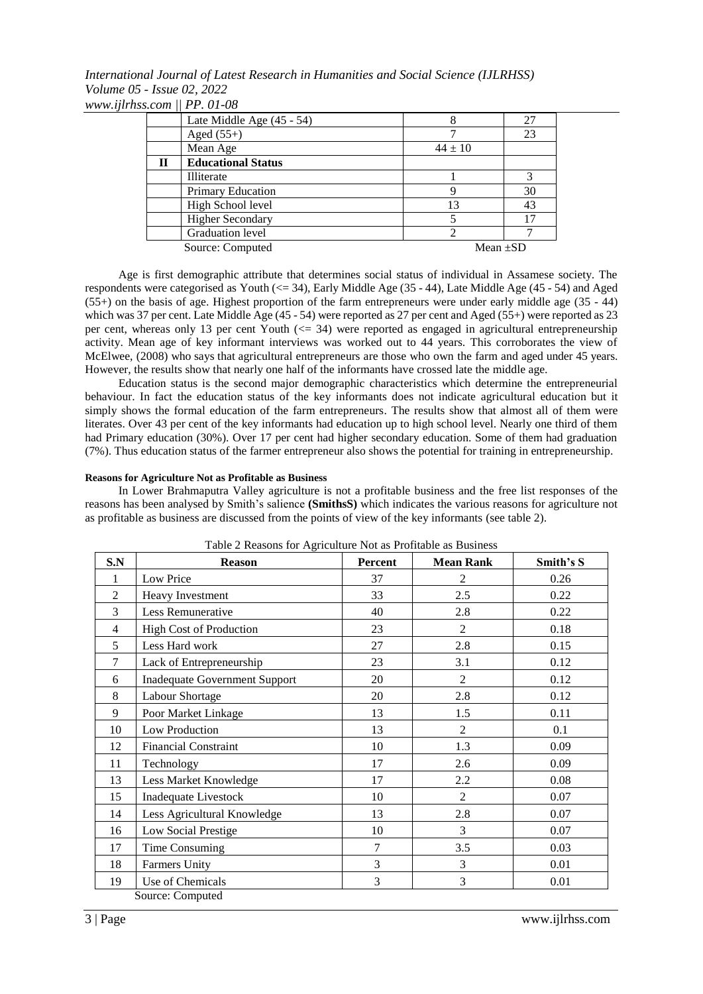*International Journal of Latest Research in Humanities and Social Science (IJLRHSS) Volume 05 - Issue 02, 2022 www.ijlrhss.com || PP. 01-08*

|   | Late Middle Age (45 - 54) |               | 27 |
|---|---------------------------|---------------|----|
|   | Aged $(55+)$              |               | 23 |
|   | Mean Age                  | $44 \pm 10$   |    |
| П | <b>Educational Status</b> |               |    |
|   | Illiterate                |               |    |
|   | Primary Education         |               | 30 |
|   | High School level         | 13            | 43 |
|   | <b>Higher Secondary</b>   |               | 17 |
|   | Graduation level          |               |    |
|   | Source: Computed          | Mean $\pm SD$ |    |

Age is first demographic attribute that determines social status of individual in Assamese society. The respondents were categorised as Youth (<= 34), Early Middle Age (35 - 44), Late Middle Age (45 - 54) and Aged (55+) on the basis of age. Highest proportion of the farm entrepreneurs were under early middle age (35 - 44) which was 37 per cent. Late Middle Age (45 - 54) were reported as 27 per cent and Aged (55+) were reported as 23 per cent, whereas only 13 per cent Youth (<= 34) were reported as engaged in agricultural entrepreneurship activity. Mean age of key informant interviews was worked out to 44 years. This corroborates the view of McElwee, (2008) who says that agricultural entrepreneurs are those who own the farm and aged under 45 years. However, the results show that nearly one half of the informants have crossed late the middle age.

Education status is the second major demographic characteristics which determine the entrepreneurial behaviour. In fact the education status of the key informants does not indicate agricultural education but it simply shows the formal education of the farm entrepreneurs. The results show that almost all of them were literates. Over 43 per cent of the key informants had education up to high school level. Nearly one third of them had Primary education (30%). Over 17 per cent had higher secondary education. Some of them had graduation (7%). Thus education status of the farmer entrepreneur also shows the potential for training in entrepreneurship.

#### **Reasons for Agriculture Not as Profitable as Business**

In Lower Brahmaputra Valley agriculture is not a profitable business and the free list responses of the reasons has been analysed by Smith's salience **(SmithsS)** which indicates the various reasons for agriculture not as profitable as business are discussed from the points of view of the key informants (see table 2).

| S.N            | <b>Reason</b>                        | Percent | <b>Mean Rank</b> | Smith's S |
|----------------|--------------------------------------|---------|------------------|-----------|
| 1              | Low Price                            | 37      | 2                | 0.26      |
| $\overline{2}$ | Heavy Investment                     | 33      | 2.5              | 0.22      |
| 3              | Less Remunerative                    | 40      | 2.8              | 0.22      |
| $\overline{4}$ | <b>High Cost of Production</b>       | 23      | $\overline{2}$   | 0.18      |
| 5              | Less Hard work                       | 27      | 2.8              | 0.15      |
| $\overline{7}$ | Lack of Entrepreneurship             | 23      | 3.1              | 0.12      |
| 6              | <b>Inadequate Government Support</b> | 20      | $\overline{2}$   | 0.12      |
| 8              | <b>Labour Shortage</b>               | 20      | 2.8              | 0.12      |
| 9              | Poor Market Linkage                  | 13      | 1.5              | 0.11      |
| 10             | Low Production                       | 13      | 2                | 0.1       |
| 12             | <b>Financial Constraint</b>          | 10      | 1.3              | 0.09      |
| 11             | Technology                           | 17      | 2.6              | 0.09      |
| 13             | Less Market Knowledge                | 17      | 2.2              | 0.08      |
| 15             | <b>Inadequate Livestock</b>          | 10      | $\overline{2}$   | 0.07      |
| 14             | Less Agricultural Knowledge          | 13      | 2.8              | 0.07      |
| 16             | Low Social Prestige                  | 10      | 3                | 0.07      |
| 17             | Time Consuming                       | 7       | 3.5              | 0.03      |
| 18             | <b>Farmers Unity</b>                 | 3       | 3                | 0.01      |
| 19             | Use of Chemicals                     | 3       | 3                | 0.01      |
|                | Source: Computed                     |         |                  |           |

Table 2 Reasons for Agriculture Not as Profitable as Business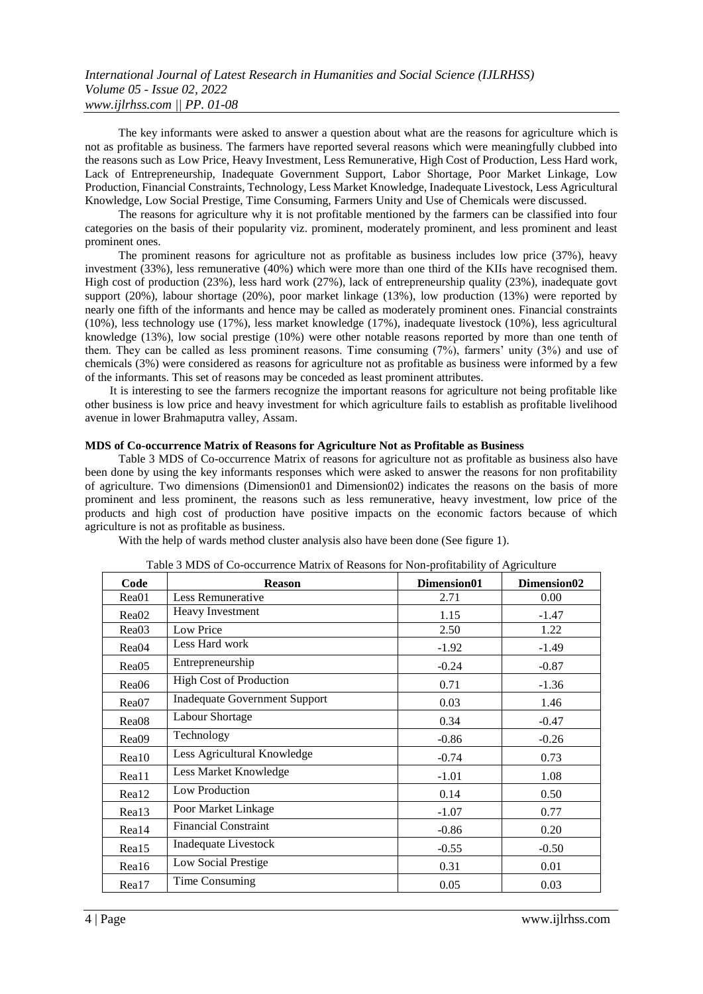The key informants were asked to answer a question about what are the reasons for agriculture which is not as profitable as business. The farmers have reported several reasons which were meaningfully clubbed into the reasons such as Low Price, Heavy Investment, Less Remunerative, High Cost of Production, Less Hard work, Lack of Entrepreneurship, Inadequate Government Support, Labor Shortage, Poor Market Linkage, Low Production, Financial Constraints, Technology, Less Market Knowledge, Inadequate Livestock, Less Agricultural Knowledge, Low Social Prestige, Time Consuming, Farmers Unity and Use of Chemicals were discussed.

The reasons for agriculture why it is not profitable mentioned by the farmers can be classified into four categories on the basis of their popularity viz. prominent, moderately prominent, and less prominent and least prominent ones.

The prominent reasons for agriculture not as profitable as business includes low price (37%), heavy investment (33%), less remunerative (40%) which were more than one third of the KIIs have recognised them. High cost of production (23%), less hard work (27%), lack of entrepreneurship quality (23%), inadequate govt support (20%), labour shortage (20%), poor market linkage (13%), low production (13%) were reported by nearly one fifth of the informants and hence may be called as moderately prominent ones. Financial constraints (10%), less technology use (17%), less market knowledge (17%), inadequate livestock (10%), less agricultural knowledge (13%), low social prestige (10%) were other notable reasons reported by more than one tenth of them. They can be called as less prominent reasons. Time consuming (7%), farmers' unity (3%) and use of chemicals (3%) were considered as reasons for agriculture not as profitable as business were informed by a few of the informants. This set of reasons may be conceded as least prominent attributes.

It is interesting to see the farmers recognize the important reasons for agriculture not being profitable like other business is low price and heavy investment for which agriculture fails to establish as profitable livelihood avenue in lower Brahmaputra valley, Assam.

#### **MDS of Co-occurrence Matrix of Reasons for Agriculture Not as Profitable as Business**

Table 3 MDS of Co-occurrence Matrix of reasons for agriculture not as profitable as business also have been done by using the key informants responses which were asked to answer the reasons for non profitability of agriculture. Two dimensions (Dimension01 and Dimension02) indicates the reasons on the basis of more prominent and less prominent, the reasons such as less remunerative, heavy investment, low price of the products and high cost of production have positive impacts on the economic factors because of which agriculture is not as profitable as business.

With the help of wards method cluster analysis also have been done (See figure 1).

| Code              | <b>Reason</b>                        | Dimension01 | Dimension02 |
|-------------------|--------------------------------------|-------------|-------------|
| Rea01             | Less Remunerative                    | 2.71        | 0.00        |
| Rea02             | Heavy Investment                     | 1.15        | $-1.47$     |
| Rea03             | Low Price                            | 2.50        | 1.22        |
| Rea04             | Less Hard work                       | $-1.92$     | $-1.49$     |
| Rea05             | Entrepreneurship                     | $-0.24$     | $-0.87$     |
| Rea06             | <b>High Cost of Production</b>       | 0.71        | $-1.36$     |
| Rea07             | <b>Inadequate Government Support</b> | 0.03        | 1.46        |
| Rea <sub>08</sub> | Labour Shortage                      | 0.34        | $-0.47$     |
| Rea <sub>09</sub> | Technology                           | $-0.86$     | $-0.26$     |
| Real <sub>0</sub> | Less Agricultural Knowledge          | $-0.74$     | 0.73        |
| Rea11             | Less Market Knowledge                | $-1.01$     | 1.08        |
| Rea12             | Low Production                       | 0.14        | 0.50        |
| Rea13             | Poor Market Linkage                  | $-1.07$     | 0.77        |
| Rea14             | <b>Financial Constraint</b>          | $-0.86$     | 0.20        |
| Rea15             | Inadequate Livestock                 | $-0.55$     | $-0.50$     |
| Rea16             | Low Social Prestige                  | 0.31        | 0.01        |
| Rea17             | Time Consuming                       | 0.05        | 0.03        |

Table 3 MDS of Co-occurrence Matrix of Reasons for Non-profitability of Agriculture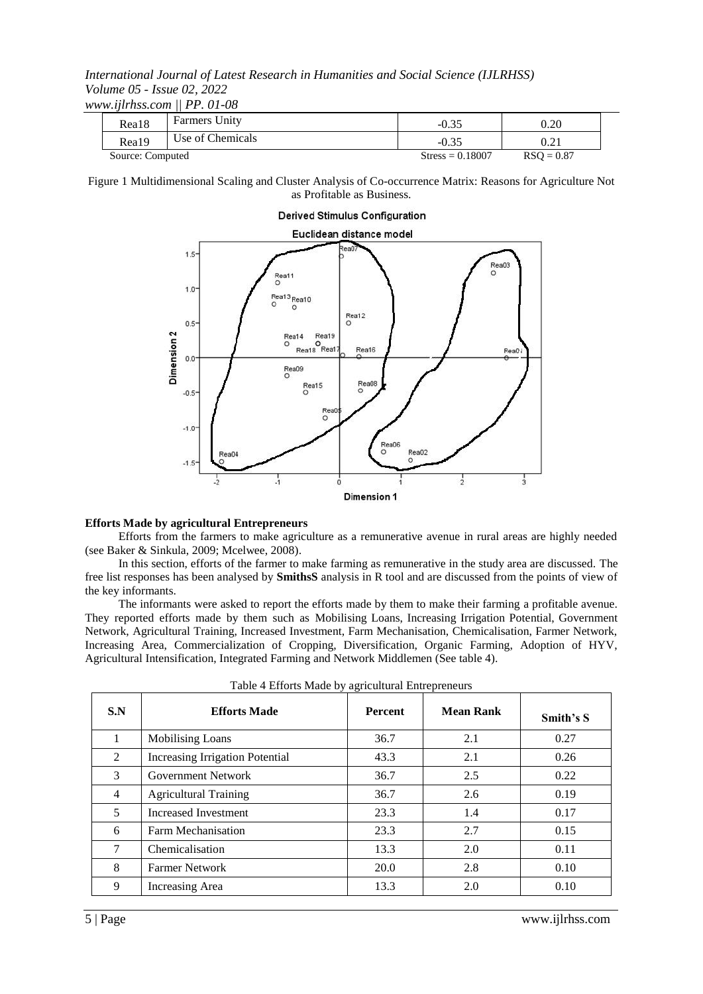*www.ijlrhss.com || PP. 01-08*

| Rea18            | <b>Farmers Unity</b> | $-0.35$            | 0.20         |
|------------------|----------------------|--------------------|--------------|
| Rea19            | Use of Chemicals     | $-0.35$            | 0.21         |
| Source: Computed |                      | $Stress = 0.18007$ | $RSO = 0.87$ |

Figure 1 Multidimensional Scaling and Cluster Analysis of Co-occurrence Matrix: Reasons for Agriculture Not as Profitable as Business.

#### **Derived Stimulus Configuration** Euclidean distance model  $1.5$ Rea03<br>O Rea11  $1.0$ Rea13<sub>Rea10</sub>  $\overline{a}$  $\epsilon$ Rea12  $0.5^{\circ}$ Dimension<sub>2</sub> Rea14 Rea19 Real<sub>8</sub> Real Rea16 Rea0  $0.0$ Rea09<br>O Rea08 Rea15  $-0.5$  $R$ ea  $-1.0$ Rea06<br>O Rea02  $-1.5$  $rac{1}{2}$  $\cdot$  $\frac{1}{3}$  $\frac{1}{2}$ ó **Dimension 1**

### **Efforts Made by agricultural Entrepreneurs**

Efforts from the farmers to make agriculture as a remunerative avenue in rural areas are highly needed (see Baker & Sinkula, 2009; Mcelwee, 2008).

In this section, efforts of the farmer to make farming as remunerative in the study area are discussed. The free list responses has been analysed by **SmithsS** analysis in R tool and are discussed from the points of view of the key informants.

The informants were asked to report the efforts made by them to make their farming a profitable avenue. They reported efforts made by them such as Mobilising Loans, Increasing Irrigation Potential, Government Network, Agricultural Training, Increased Investment, Farm Mechanisation, Chemicalisation, Farmer Network, Increasing Area, Commercialization of Cropping, Diversification, Organic Farming, Adoption of HYV, Agricultural Intensification, Integrated Farming and Network Middlemen (See table 4).

| S.N            | <b>Efforts Made</b>                    | <b>Percent</b> | <b>Mean Rank</b> | Smith's S |
|----------------|----------------------------------------|----------------|------------------|-----------|
|                | Mobilising Loans                       | 36.7           | 2.1              | 0.27      |
| 2              | <b>Increasing Irrigation Potential</b> | 43.3           | 2.1              | 0.26      |
| 3              | Government Network                     | 36.7           | 2.5              | 0.22      |
| $\overline{4}$ | <b>Agricultural Training</b>           | 36.7           | 2.6              | 0.19      |
| 5              | <b>Increased Investment</b>            | 23.3           | 1.4              | 0.17      |
| 6              | Farm Mechanisation                     | 23.3           | 2.7              | 0.15      |
| 7              | Chemicalisation                        | 13.3           | 2.0              | 0.11      |
| 8              | <b>Farmer Network</b>                  | 20.0           | 2.8              | 0.10      |
| 9              | Increasing Area                        | 13.3           | 2.0              | 0.10      |

| Table 4 Efforts Made by agricultural Entrepreneurs |  |
|----------------------------------------------------|--|
|----------------------------------------------------|--|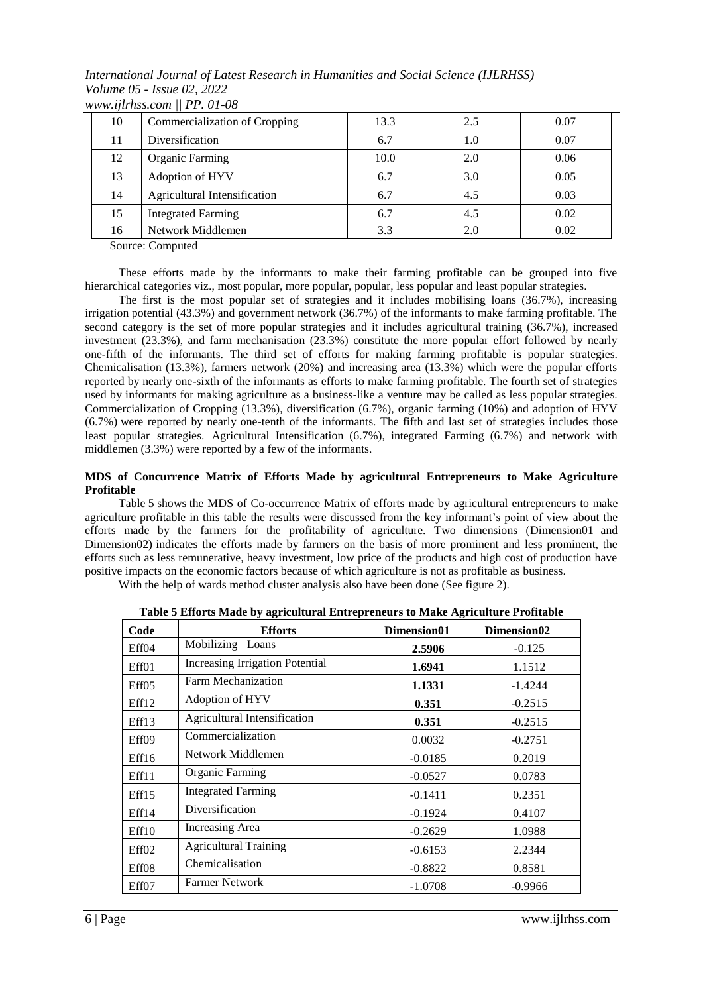*International Journal of Latest Research in Humanities and Social Science (IJLRHSS) Volume 05 - Issue 02, 2022 www.ijlrhss.com || PP. 01-08*

| 10 | Commercialization of Cropping | 13.3 | 2.5 | 0.07 |
|----|-------------------------------|------|-----|------|
| 11 | Diversification               | 6.7  | 1.0 | 0.07 |
| 12 | <b>Organic Farming</b>        | 10.0 | 2.0 | 0.06 |
| 13 | Adoption of HYV               | 6.7  | 3.0 | 0.05 |
| 14 | Agricultural Intensification  | 6.7  | 4.5 | 0.03 |
| 15 | <b>Integrated Farming</b>     | 6.7  | 4.5 | 0.02 |
| 16 | Network Middlemen             | 3.3  | 2.0 | 0.02 |
|    | $\sim$ $\sim$ $\sim$          |      |     |      |

Source: Computed

These efforts made by the informants to make their farming profitable can be grouped into five hierarchical categories viz., most popular, more popular, popular, less popular and least popular strategies.

The first is the most popular set of strategies and it includes mobilising loans (36.7%), increasing irrigation potential (43.3%) and government network (36.7%) of the informants to make farming profitable. The second category is the set of more popular strategies and it includes agricultural training (36.7%), increased investment (23.3%), and farm mechanisation (23.3%) constitute the more popular effort followed by nearly one-fifth of the informants. The third set of efforts for making farming profitable is popular strategies. Chemicalisation (13.3%), farmers network (20%) and increasing area (13.3%) which were the popular efforts reported by nearly one-sixth of the informants as efforts to make farming profitable. The fourth set of strategies used by informants for making agriculture as a business-like a venture may be called as less popular strategies. Commercialization of Cropping (13.3%), diversification (6.7%), organic farming (10%) and adoption of HYV (6.7%) were reported by nearly one-tenth of the informants. The fifth and last set of strategies includes those least popular strategies. Agricultural Intensification (6.7%), integrated Farming (6.7%) and network with middlemen (3.3%) were reported by a few of the informants.

### **MDS of Concurrence Matrix of Efforts Made by agricultural Entrepreneurs to Make Agriculture Profitable**

Table 5 shows the MDS of Co-occurrence Matrix of efforts made by agricultural entrepreneurs to make agriculture profitable in this table the results were discussed from the key informant's point of view about the efforts made by the farmers for the profitability of agriculture. Two dimensions (Dimension01 and Dimension02) indicates the efforts made by farmers on the basis of more prominent and less prominent, the efforts such as less remunerative, heavy investment, low price of the products and high cost of production have positive impacts on the economic factors because of which agriculture is not as profitable as business.

With the help of wards method cluster analysis also have been done (See figure 2).

| Code              | <b>Efforts</b>                         | Dimension01 | Dimension02 |
|-------------------|----------------------------------------|-------------|-------------|
| Eff04             | Mobilizing Loans                       | 2.5906      | $-0.125$    |
| Eff01             | <b>Increasing Irrigation Potential</b> | 1.6941      | 1.1512      |
| Eff05             | Farm Mechanization                     | 1.1331      | $-1.4244$   |
| Eff12             | Adoption of HYV                        | 0.351       | $-0.2515$   |
| Eff13             | Agricultural Intensification           | 0.351       | $-0.2515$   |
| Eff09             | Commercialization                      | 0.0032      | $-0.2751$   |
| Eff16             | Network Middlemen                      | $-0.0185$   | 0.2019      |
| Eff11             | <b>Organic Farming</b>                 | $-0.0527$   | 0.0783      |
| Eff15             | <b>Integrated Farming</b>              | $-0.1411$   | 0.2351      |
| Eff14             | Diversification                        | $-0.1924$   | 0.4107      |
| Eff10             | Increasing Area                        | $-0.2629$   | 1.0988      |
| Eff <sub>02</sub> | <b>Agricultural Training</b>           | $-0.6153$   | 2.2344      |
| Eff08             | Chemicalisation                        | $-0.8822$   | 0.8581      |
| Eff07             | <b>Farmer Network</b>                  | $-1.0708$   | $-0.9966$   |

**Table 5 Efforts Made by agricultural Entrepreneurs to Make Agriculture Profitable**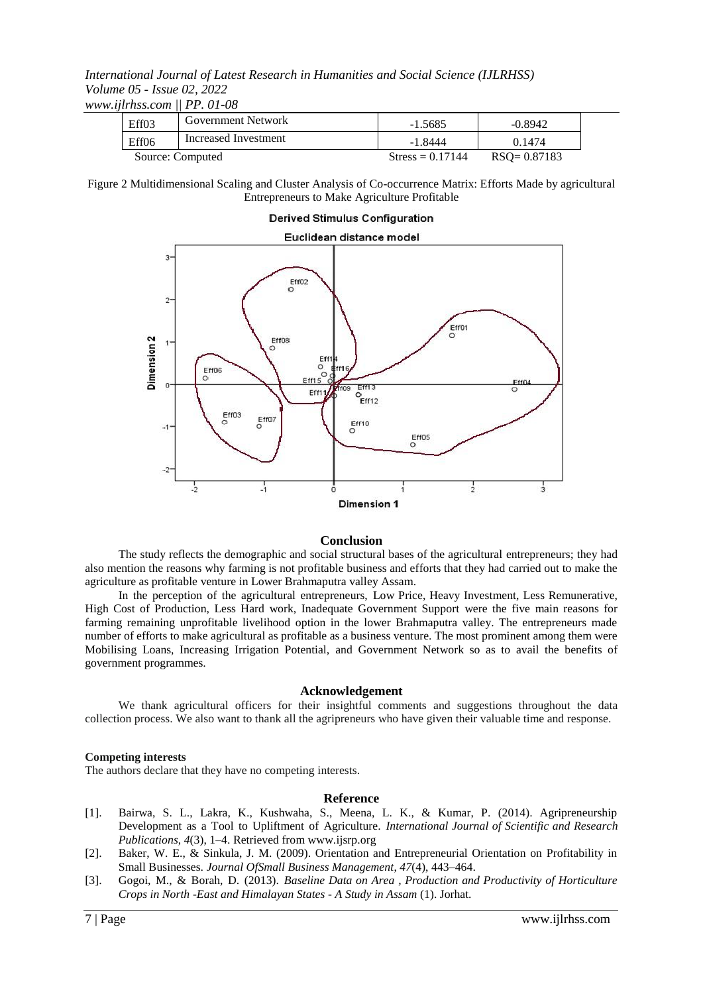*www.ijlrhss.com || PP. 01-08*

| Eff <sub>03</sub> | <b>Government Network</b> | $-1.5685$          | $-0.8942$       |
|-------------------|---------------------------|--------------------|-----------------|
| Eff06             | Increased Investment      | -1.8444            | 0.1474          |
|                   | Source: Computed          | Stress = $0.17144$ | $RSO = 0.87183$ |

Figure 2 Multidimensional Scaling and Cluster Analysis of Co-occurrence Matrix: Efforts Made by agricultural Entrepreneurs to Make Agriculture Profitable

## **Derived Stimulus Configuration**



#### **Conclusion**

The study reflects the demographic and social structural bases of the agricultural entrepreneurs; they had also mention the reasons why farming is not profitable business and efforts that they had carried out to make the agriculture as profitable venture in Lower Brahmaputra valley Assam.

In the perception of the agricultural entrepreneurs, Low Price, Heavy Investment, Less Remunerative, High Cost of Production, Less Hard work, Inadequate Government Support were the five main reasons for farming remaining unprofitable livelihood option in the lower Brahmaputra valley. The entrepreneurs made number of efforts to make agricultural as profitable as a business venture. The most prominent among them were Mobilising Loans, Increasing Irrigation Potential, and Government Network so as to avail the benefits of government programmes.

#### **Acknowledgement**

We thank agricultural officers for their insightful comments and suggestions throughout the data collection process. We also want to thank all the agripreneurs who have given their valuable time and response.

#### **Competing interests**

The authors declare that they have no competing interests.

#### **Reference**

- [1]. Bairwa, S. L., Lakra, K., Kushwaha, S., Meena, L. K., & Kumar, P. (2014). Agripreneurship Development as a Tool to Upliftment of Agriculture. *International Journal of Scientific and Research Publications*, *4*(3), 1–4. Retrieved from www.ijsrp.org
- [2]. Baker, W. E., & Sinkula, J. M. (2009). Orientation and Entrepreneurial Orientation on Profitability in Small Businesses. *Journal OfSmall Business Management*, *47*(4), 443–464.
- [3]. Gogoi, M., & Borah, D. (2013). *Baseline Data on Area , Production and Productivity of Horticulture Crops in North -East and Himalayan States - A Study in Assam* (1). Jorhat.